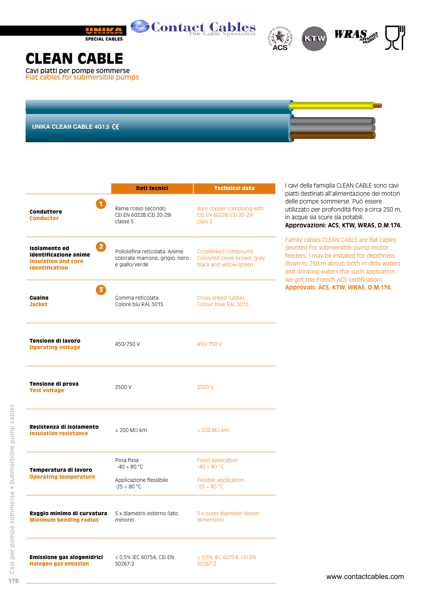





## **CLEAN CABLE**

Cavi piatti per pompe sommerse Flat cables for submersible pumps

**UNIKA CLEAN CABLE 4G1.5**

|                                                                                                              | Dati tecnici                                                                      | <b>Technical data</b>                                                          |  |
|--------------------------------------------------------------------------------------------------------------|-----------------------------------------------------------------------------------|--------------------------------------------------------------------------------|--|
| $\mathbf{1}$<br>Conduttore<br><b>Conductor</b>                                                               | Rame rosso secondo<br>CELEN 60228 (CEL20-29)<br>classe 5                          | Bare copper complying with<br>CELEN 60228 (CEL20-29)<br>class 5                |  |
| $\boxed{2}$<br>Isolamento ed<br>identificazione anime<br><b>Insulation and core</b><br><b>identification</b> | Poliolefina reticolata, Anime<br>colorate marrone, grigio, nero<br>e giallo/verde | Crosslinked compound.<br>Coloured cores brown, grey,<br>black and yellow/green |  |
| $\overline{3}$<br>Guaina<br><b>Jacket</b>                                                                    | Gomma reticolata.<br>Colore blu RAL 5015                                          | Cross-linked rubber.<br>Colour blue RAL 5015                                   |  |
| Tensione di lavoro<br><b>Operating voltage</b>                                                               | 450/750 V                                                                         | 450/750 V                                                                      |  |
| Tensione di prova<br><b>Test voltage</b>                                                                     | 2500 V                                                                            | 2500 V                                                                         |  |
| Resistenza di isolamento<br><b>Insulation resistance</b>                                                     | $> 200$ M $\Omega$ ·km<br>$>$ 200 M $\Omega$ ·km                                  |                                                                                |  |
| Temperatura di lavoro<br><b>Operating temperature</b>                                                        | Posa fissa<br>$-40 \div 80$ °C                                                    | <b>Fixed application</b><br>$-40 \div 80$ °C                                   |  |
|                                                                                                              | Applicazione flessibile<br>$-25 \div 80$ °C                                       | Flexible application<br>$-25 \div 80$ °C                                       |  |
| Raggio minimo di curvatura<br><b>Minimum bending radius</b>                                                  | 5 x diametro esterno (lato<br>minore)                                             | 5 x outer diameter (lesser<br>dimension)                                       |  |
| Emissione gas alogenidrici<br><b>Halogen gas emission</b>                                                    | $\leq$ 0,5% IEC 60754, CEI EN<br>50267-2                                          | ≤ 0,5% IEC 60754, CEI EN<br>50267-2                                            |  |

I cavi della famiglia CLEAN CABLE sono cavi piatti destinati all'alimentazione dei motori delle pompe sommerse. Può essere utilizzato per profondità fino a circa 250 m, in acque sia scure sia potabili. **Approvazioni: ACS, KTW, WRAS, D.M.174.**

Family cables CLEAN CABLE are flat cables devoted for submersible pump motor feeders. I may be installed for depthness down to 250 m about, both in dirty waters and drinking waters (for such application we got the French ACS certification). **Approvals: ACS, KTW, WRAS, D.M.174.**

**178**